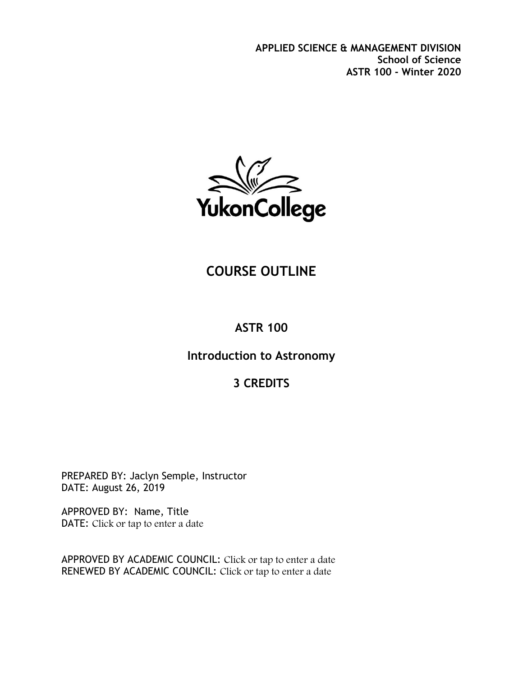**APPLIED SCIENCE & MANAGEMENT DIVISION School of Science ASTR 100 - Winter 2020**



# **COURSE OUTLINE**

# **ASTR 100**

### **Introduction to Astronomy**

# **3 CREDITS**

PREPARED BY: Jaclyn Semple, Instructor DATE: August 26, 2019

APPROVED BY: Name, Title DATE: Click or tap to enter a date

APPROVED BY ACADEMIC COUNCIL: Click or tap to enter a date RENEWED BY ACADEMIC COUNCIL: Click or tap to enter a date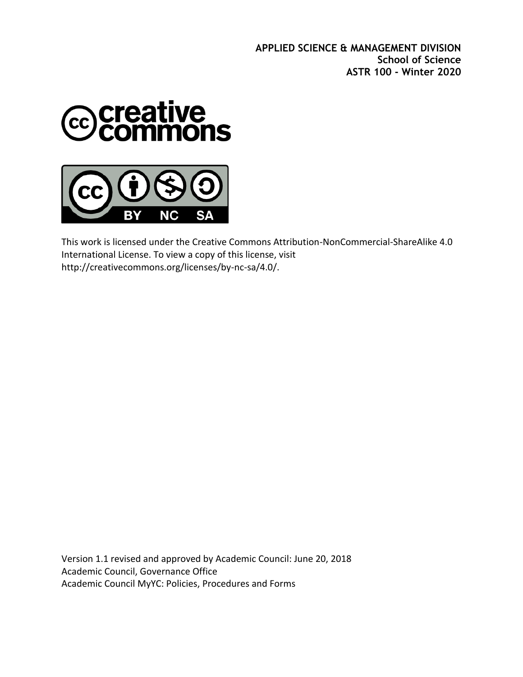**APPLIED SCIENCE & MANAGEMENT DIVISION School of Science ASTR 100 - Winter 2020**



ΝC

SΑ

This work is licensed under the Creative Commons Attribution-NonCommercial-ShareAlike 4.0 International License. To view a copy of this license, visit http://creativecommons.org/licenses/by-nc-sa/4.0/.

Version 1.1 revised and approved by Academic Council: June 20, 2018 Academic Council, Governance Office Academic Council MyYC: Policies, Procedures and Forms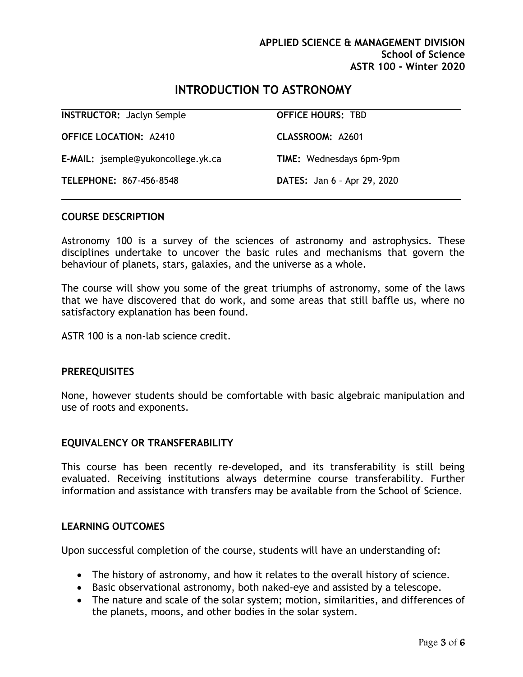### **INTRODUCTION TO ASTRONOMY**

| <b>INSTRUCTOR: Jaclyn Semple</b>          | <b>OFFICE HOURS: TBD</b>           |
|-------------------------------------------|------------------------------------|
| <b>OFFICE LOCATION: A2410</b>             | CLASSROOM: A2601                   |
| <b>E-MAIL:</b> jsemple@yukoncollege.yk.ca | <b>TIME:</b> Wednesdays 6pm-9pm    |
| TELEPHONE: 867-456-8548                   | <b>DATES:</b> Jan 6 - Apr 29, 2020 |

#### **COURSE DESCRIPTION**

Astronomy 100 is a survey of the sciences of astronomy and astrophysics. These disciplines undertake to uncover the basic rules and mechanisms that govern the behaviour of planets, stars, galaxies, and the universe as a whole.

The course will show you some of the great triumphs of astronomy, some of the laws that we have discovered that do work, and some areas that still baffle us, where no satisfactory explanation has been found.

ASTR 100 is a non-lab science credit.

#### **PREREQUISITES**

None, however students should be comfortable with basic algebraic manipulation and use of roots and exponents.

#### **EQUIVALENCY OR TRANSFERABILITY**

This course has been recently re-developed, and its transferability is still being evaluated. Receiving institutions always determine course transferability. Further information and assistance with transfers may be available from the School of Science.

#### **LEARNING OUTCOMES**

Upon successful completion of the course, students will have an understanding of:

- The history of astronomy, and how it relates to the overall history of science.
- Basic observational astronomy, both naked-eye and assisted by a telescope.
- The nature and scale of the solar system; motion, similarities, and differences of the planets, moons, and other bodies in the solar system.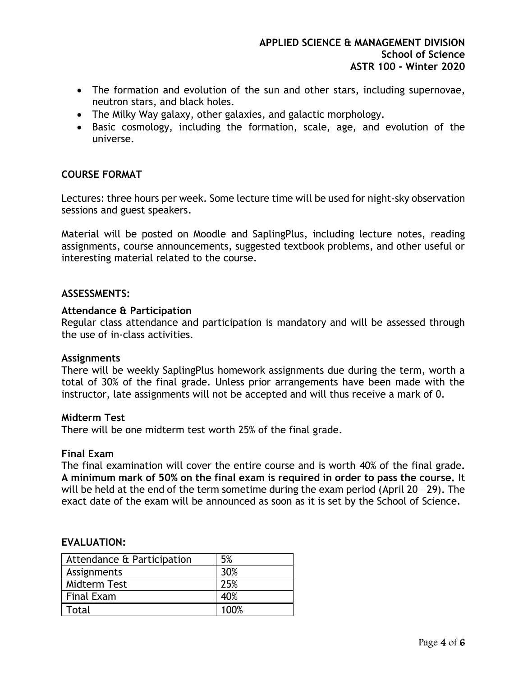- The formation and evolution of the sun and other stars, including supernovae, neutron stars, and black holes.
- The Milky Way galaxy, other galaxies, and galactic morphology.
- Basic cosmology, including the formation, scale, age, and evolution of the universe.

#### **COURSE FORMAT**

Lectures: three hours per week. Some lecture time will be used for night-sky observation sessions and guest speakers.

Material will be posted on Moodle and SaplingPlus, including lecture notes, reading assignments, course announcements, suggested textbook problems, and other useful or interesting material related to the course.

#### **ASSESSMENTS:**

#### **Attendance & Participation**

Regular class attendance and participation is mandatory and will be assessed through the use of in-class activities.

#### **Assignments**

There will be weekly SaplingPlus homework assignments due during the term, worth a total of 30% of the final grade. Unless prior arrangements have been made with the instructor, late assignments will not be accepted and will thus receive a mark of 0.

#### **Midterm Test**

There will be one midterm test worth 25% of the final grade.

#### **Final Exam**

The final examination will cover the entire course and is worth 40% of the final grade**. A minimum mark of 50% on the final exam is required in order to pass the course.** It will be held at the end of the term sometime during the exam period (April 20 – 29). The exact date of the exam will be announced as soon as it is set by the School of Science.

#### **EVALUATION:**

| Attendance & Participation | 5%   |
|----------------------------|------|
| Assignments                | 30%  |
| Midterm Test               | 25%  |
| <b>Final Exam</b>          | 40%  |
| Total                      | 100% |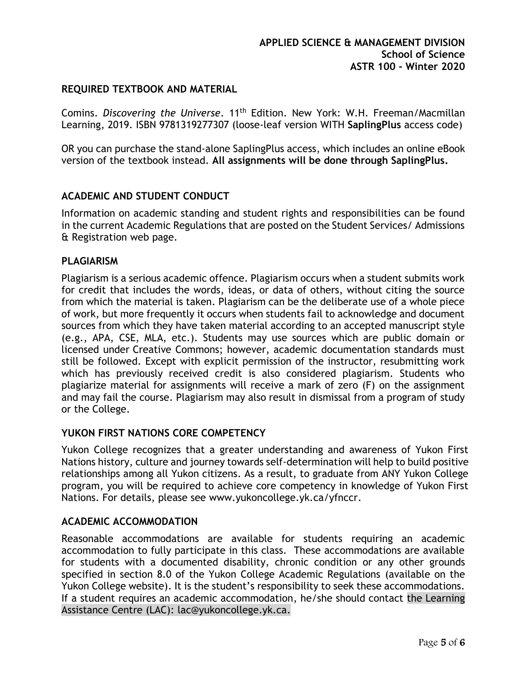#### **REQUIRED TEXTBOOK AND MATERIAL**

Comins. Discovering the Universe. 11<sup>th</sup> Edition. New York: W.H. Freeman/Macmillan Learning, 2019. ISBN 9781319277307 (loose-leaf version WITH **SaplingPlus** access code)

OR you can purchase the stand-alone SaplingPlus access, which includes an online eBook version of the textbook instead. **All assignments will be done through SaplingPlus.**

#### **ACADEMIC AND STUDENT CONDUCT**

Information on academic standing and student rights and responsibilities can be found in the current Academic Regulations that are posted on the Student Services/ Admissions & Registration web page.

#### **PLAGIARISM**

Plagiarism is a serious academic offence. Plagiarism occurs when a student submits work for credit that includes the words, ideas, or data of others, without citing the source from which the material is taken. Plagiarism can be the deliberate use of a whole piece of work, but more frequently it occurs when students fail to acknowledge and document sources from which they have taken material according to an accepted manuscript style (e.g., APA, CSE, MLA, etc.). Students may use sources which are public domain or licensed under Creative Commons; however, academic documentation standards must still be followed. Except with explicit permission of the instructor, resubmitting work which has previously received credit is also considered plagiarism. Students who plagiarize material for assignments will receive a mark of zero (F) on the assignment and may fail the course. Plagiarism may also result in dismissal from a program of study or the College.

#### **YUKON FIRST NATIONS CORE COMPETENCY**

Yukon College recognizes that a greater understanding and awareness of Yukon First Nations history, culture and journey towards self-determination will help to build positive relationships among all Yukon citizens. As a result, to graduate from ANY Yukon College program, you will be required to achieve core competency in knowledge of Yukon First Nations. For details, please see [www.yukoncollege.yk.ca/yfnccr.](http://www.yukoncollege.yk.ca/yfnccr)

#### **ACADEMIC ACCOMMODATION**

Reasonable accommodations are available for students requiring an academic accommodation to fully participate in this class. These accommodations are available for students with a documented disability, chronic condition or any other grounds specified in section 8.0 of the Yukon College Academic Regulations (available on the Yukon College website). It is the student's responsibility to seek these accommodations. If a student requires an academic accommodation, he/she should contact the Learning Assistance Centre (LAC): lac@yukoncollege.yk.ca.